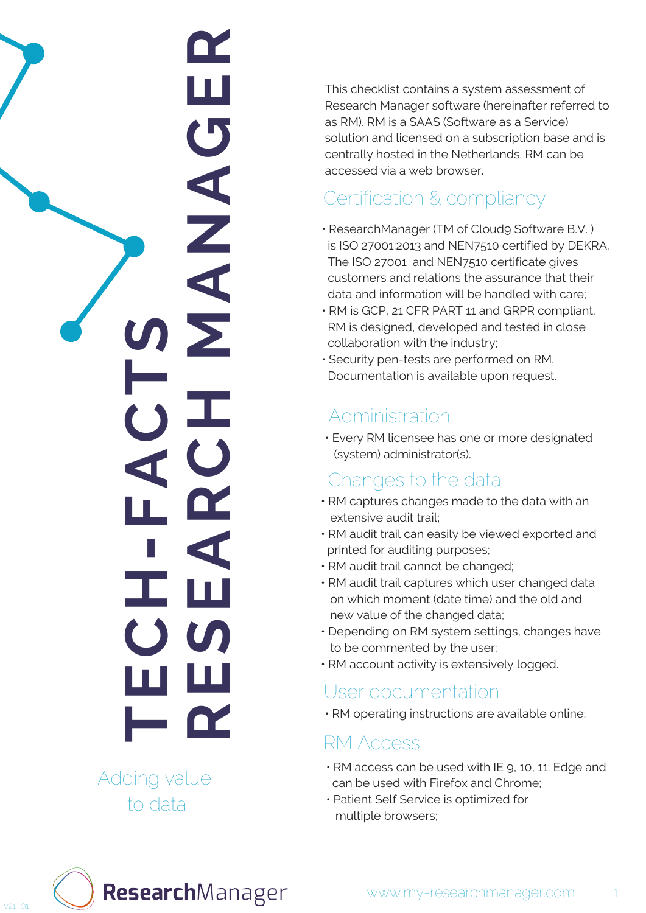## **RESEARCH MANAGER** T ш  $\mathbf C$  $\blacktriangleleft$ N **MECH-FACTS**

Adding value to data

This checklist contains a system assessment of<br>Research Manager software foreinafter referred to<br>as RM). RM is a SAAS (Software as a Service)<br>solution and licensed on a subscription base and is<br>solution and licensed on a s

- ResearchManager (TM of Cloudg Software B.V.) is ISO 27001:2013 and NEN7510 certified by DEKR A. The ISO 27001 and NEN7510 certificate gives customers and relations the assurance that their data and information will be handled with care;
- RM is GCP, 21 CFR PART 11 and GRPR compliant. RM is designed, developed and tested in close collaboration with the industry;
- Security pen-tests are performed on RM. Documentation is available upon request.

### Changes to the data

- RM captures changes made to the data with an extensive audit trail;
- RM audit trail can easily be viewed exported and printed for auditing purposes;
- RM audit trail cannot be changed;
- RM audit trail captures which user changed data on which moment (date time) and the old and new value of the changed data;
- Depending on RM system settings, changes have to be commented by the user;
- RM account activity is extensively logged.

User documentation<br>
• RM operating instructions are available online;

### RM Access

- RM access can be used with IE 9, 10, 11. Edge and can be used with Firefox and Chrome;
- Patient Self Service is optimized for

ResearchManager

1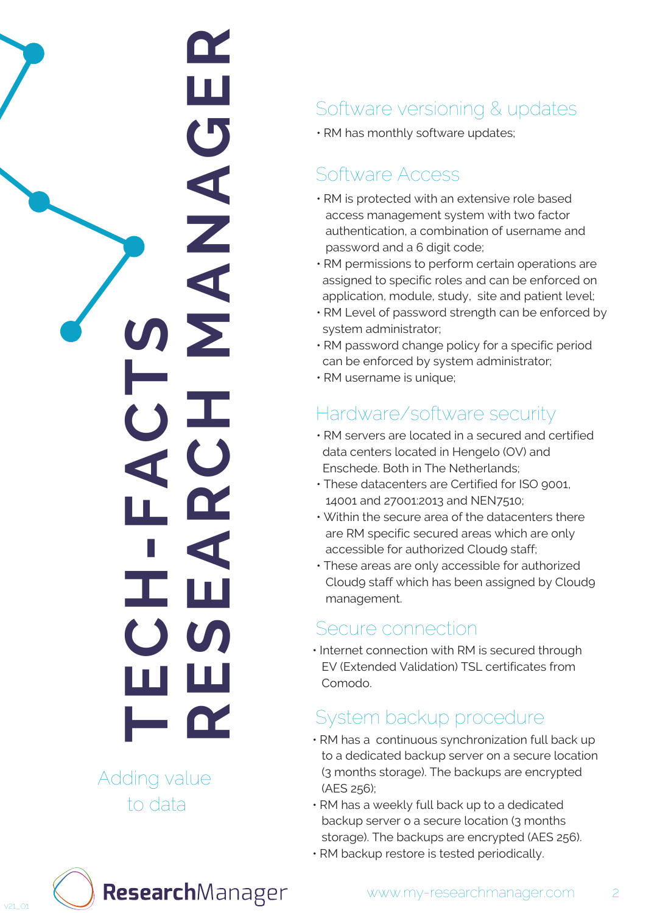# **RESEARCH MANAGER** ш  $\mathbf C$  $\blacktriangleleft$  $\frac{Z}{4}$ **MECH-FACTS**

Adding value to data

## Software versioning & updates<br>• RM has monthly software updates;

 $\cdot$  RM has monthly software update:

- $\cdot$  RM is protected with an extensive role based access management system with two factor authentication, a combination of username and p a s s w o r d a n d a 6 digit c o d e; Software Access<br>• RM is protected with an e<br>access management sys<br>authentication, a combin-<br>password and a 6 digit co<br>• RM permissions to perfor<br>assigned to specific roles<br>application, module, stud<br>• RM Level of password s
- $\cdot$  RM permissions to perform certain operations are assigned to specific roles and can be enforced on application, module, study, site and patient level;
- RM Level of password strength can be enforced b y system administrator;
- RM password change policy for a specific period can be enforced by system administrator;
- 

### software security

- RM servers are located in a secured and certified data centers located in Hengelo (OV) and Enschede. Both in The Netherlands;
- These datacenters are Certified for ISO 9001, 14001 and 27001:2013 and NEN7510;
- Within the secure area of the datacenters there are RM specific secured areas which are only accessible for authorized Cloudg staff; Hardware/<br>
• RM servers are l<br>
data centers local<br>
Enschede. Both i<br>
• These datacente<br>
14001 and 2700:<br>
• Within the securare RM specific<br>
accessible for a<br>
• These areas are<br>
Cloudg staff wh<br>
management.
- These areas are only accessible for authorized Cloudg staff which has been assigned by Cloudg management

• Internet connection with RM is secured through EV (Extended Validation) TSL certificates from Comod Secure connection<br>Internet connection with RM i<br>EV (Extended Validation) TSL<br>Comodo.

- RM has a continuous synchronization full back up to a dedicated backup server on a secure location (3 months storage). The backups are encrypted (AES 256); System backup procedure<br>• RM has a continuous synchronization ful<br>to a dedicated backup server on a secure<br>(3 months storage). The backups are enc<br>(AES 256);<br>• RM has a weekly full back up to a dedica<br>backup server o a sec
- RM has a weekly full back up to a dedicated backup server o a secure location (3 months storage). The backups are encrypted (AES 256).
- 

ResearchManager

2